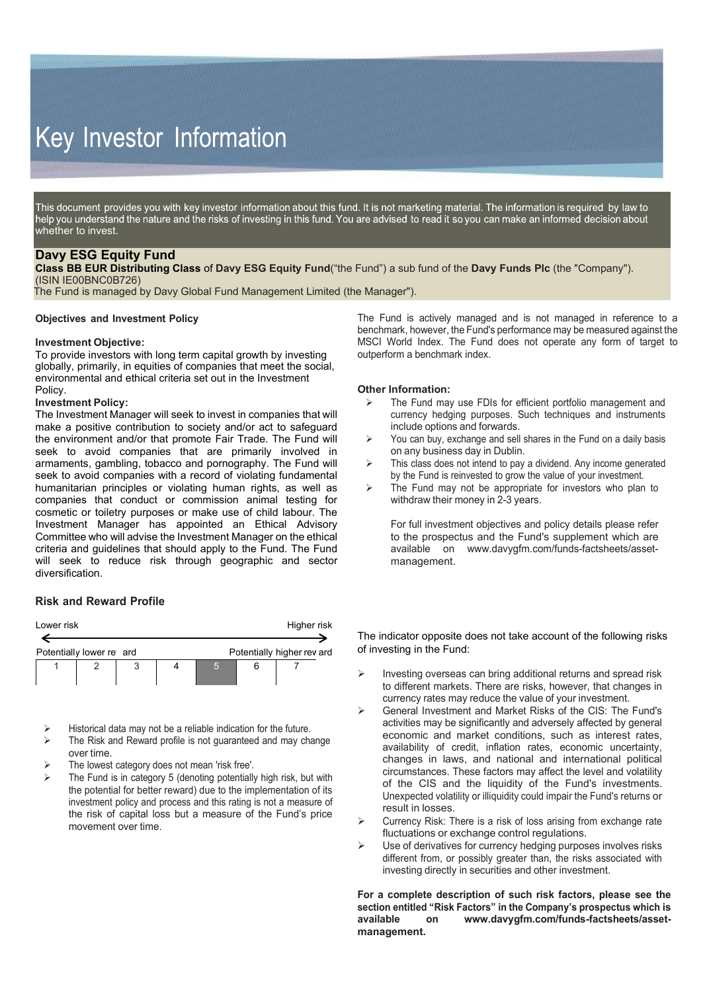# Key Investor Information

This document provides you with key investor information about this fund. It is not marketing material. The information is required by law to help you understand the nature and the risks of investing in this fund. You are advised to read it so you can make an informed decision about whether to invest.

## **Davy ESG Equity Fund**

**Class BB EUR Distributing Class** of **Davy ESG Equity Fund**("the Fund") a sub fund of the **Davy Funds Plc** (the "Company"). (ISIN IE00BNC0B726)

The Fund is managed by Davy Global Fund Management Limited (the Manager").

#### **Objectives and Investment Policy**

#### **Investment Objective:**

To provide investors with long term capital growth by investing globally, primarily, in equities of companies that meet the social, environmental and ethical criteria set out in the Investment Policy.

### **Investment Policy:**

The Investment Manager will seek to invest in companies that will make a positive contribution to society and/or act to safeguard the environment and/or that promote Fair Trade. The Fund will seek to avoid companies that are primarily involved in armaments, gambling, tobacco and pornography. The Fund will seek to avoid companies with a record of violating fundamental humanitarian principles or violating human rights, as well as companies that conduct or commission animal testing for cosmetic or toiletry purposes or make use of child labour. The Investment Manager has appointed an Ethical Advisory Committee who will advise the Investment Manager on the ethical criteria and guidelines that should apply to the Fund. The Fund will seek to reduce risk through geographic and sector diversification.

#### **Risk and Reward Profile**

| Lower risk               |  | Higher risk |  |                            |  |  |
|--------------------------|--|-------------|--|----------------------------|--|--|
| Potentially lower re ard |  |             |  | Potentially higher rev ard |  |  |
|                          |  |             |  |                            |  |  |

Historical data may not be a reliable indication for the future.

- $\triangleright$  The Risk and Reward profile is not guaranteed and may change over time.
- The lowest category does not mean 'risk free'.
- The Fund is in category 5 (denoting potentially high risk, but with the potential for better reward) due to the implementation of its investment policy and process and this rating is not a measure of the risk of capital loss but a measure of the Fund's price movement over time.

The Fund is actively managed and is not managed in reference to a benchmark, however, the Fund's performance may be measured against the MSCI World Index. The Fund does not operate any form of target to outperform a benchmark index.

#### **Other Information:**

- $\triangleright$  The Fund may use FDIs for efficient portfolio management and currency hedging purposes. Such techniques and instruments include options and forwards.
- $\triangleright$  You can buy, exchange and sell shares in the Fund on a daily basis on any business day in Dublin.
- $\triangleright$  This class does not intend to pay a dividend. Any income generated by the Fund is reinvested to grow the value of your investment.
- $\triangleright$  The Fund may not be appropriate for investors who plan to withdraw their money in 2-3 years.

For full investment objectives and policy details please refer to the prospectus and the Fund's supplement which are available on [www.davygfm.com/funds-factsheets/asset](http://www.davygfm.com/funds-factsheets/asset-)management.

The indicator opposite does not take account of the following risks of investing in the Fund:

- Investing overseas can bring additional returns and spread risk to different markets. There are risks, however, that changes in currency rates may reduce the value of your investment.
- General Investment and Market Risks of the CIS: The Fund's activities may be significantly and adversely affected by general economic and market conditions, such as interest rates, availability of credit, inflation rates, economic uncertainty, changes in laws, and national and international political circumstances. These factors may affect the level and volatility of the CIS and the liquidity of the Fund's investments. Unexpected volatility or illiquidity could impair the Fund's returns or result in losses.
- Currency Risk: There is a risk of loss arising from exchange rate fluctuations or exchange control regulations.
- $\triangleright$  Use of derivatives for currency hedging purposes involves risks different from, or possibly greater than, the risks associated with investing directly in securities and other investment.

**For a complete description of such risk factors, please see the section entitled "Risk Factors" in the Company's prospectus which is available on [www.davygfm.com/funds-factsheets/asset](http://www.davygfm.com/funds-factsheets/asset-)management.**